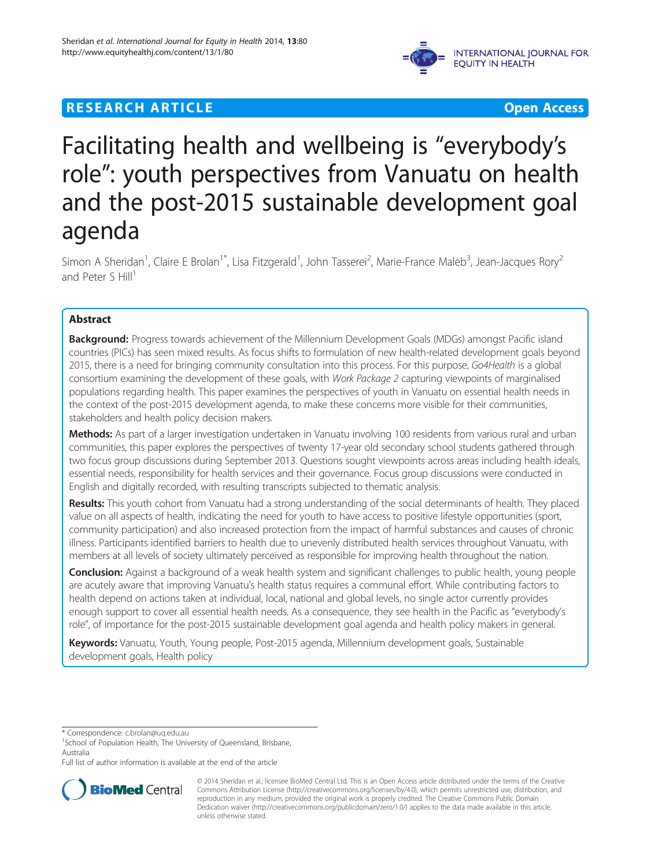

## **RESEARCH ARTICLE Example 2018 12:30 THE Open Access**

# Facilitating health and wellbeing is "everybody's role": youth perspectives from Vanuatu on health and the post-2015 sustainable development goal agenda

Simon A Sheridan<sup>1</sup>, Claire E Brolan<sup>1\*</sup>, Lisa Fitzgerald<sup>1</sup>, John Tasserei<sup>2</sup>, Marie-France Maleb<sup>3</sup>, Jean-Jacques Rory<sup>2</sup> and Peter S Hill<sup>1</sup>

## Abstract

Background: Progress towards achievement of the Millennium Development Goals (MDGs) amongst Pacific island countries (PICs) has seen mixed results. As focus shifts to formulation of new health-related development goals beyond 2015, there is a need for bringing community consultation into this process. For this purpose, Go4Health is a global consortium examining the development of these goals, with Work Package 2 capturing viewpoints of marginalised populations regarding health. This paper examines the perspectives of youth in Vanuatu on essential health needs in the context of the post-2015 development agenda, to make these concerns more visible for their communities, stakeholders and health policy decision makers.

Methods: As part of a larger investigation undertaken in Vanuatu involving 100 residents from various rural and urban communities, this paper explores the perspectives of twenty 17-year old secondary school students gathered through two focus group discussions during September 2013. Questions sought viewpoints across areas including health ideals, essential needs, responsibility for health services and their governance. Focus group discussions were conducted in English and digitally recorded, with resulting transcripts subjected to thematic analysis.

Results: This youth cohort from Vanuatu had a strong understanding of the social determinants of health. They placed value on all aspects of health, indicating the need for youth to have access to positive lifestyle opportunities (sport, community participation) and also increased protection from the impact of harmful substances and causes of chronic illness. Participants identified barriers to health due to unevenly distributed health services throughout Vanuatu, with members at all levels of society ultimately perceived as responsible for improving health throughout the nation.

Conclusion: Against a background of a weak health system and significant challenges to public health, young people are acutely aware that improving Vanuatu's health status requires a communal effort. While contributing factors to health depend on actions taken at individual, local, national and global levels, no single actor currently provides enough support to cover all essential health needs. As a consequence, they see health in the Pacific as "everybody's role", of importance for the post-2015 sustainable development goal agenda and health policy makers in general.

Keywords: Vanuatu, Youth, Young people, Post-2015 agenda, Millennium development goals, Sustainable development goals, Health policy

\* Correspondence: [c.brolan@uq.edu.au](mailto:c.brolan@uq.edu.au) <sup>1</sup>

Full list of author information is available at the end of the article



<sup>© 2014</sup> Sheridan et al.; licensee BioMed Central Ltd. This is an Open Access article distributed under the terms of the Creative Commons Attribution License [\(http://creativecommons.org/licenses/by/4.0\)](http://creativecommons.org/licenses/by/4.0), which permits unrestricted use, distribution, and reproduction in any medium, provided the original work is properly credited. The Creative Commons Public Domain Dedication waiver [\(http://creativecommons.org/publicdomain/zero/1.0/](http://creativecommons.org/publicdomain/zero/1.0/)) applies to the data made available in this article, unless otherwise stated.

<sup>&</sup>lt;sup>1</sup>School of Population Health, The University of Queensland, Brisbane, Australia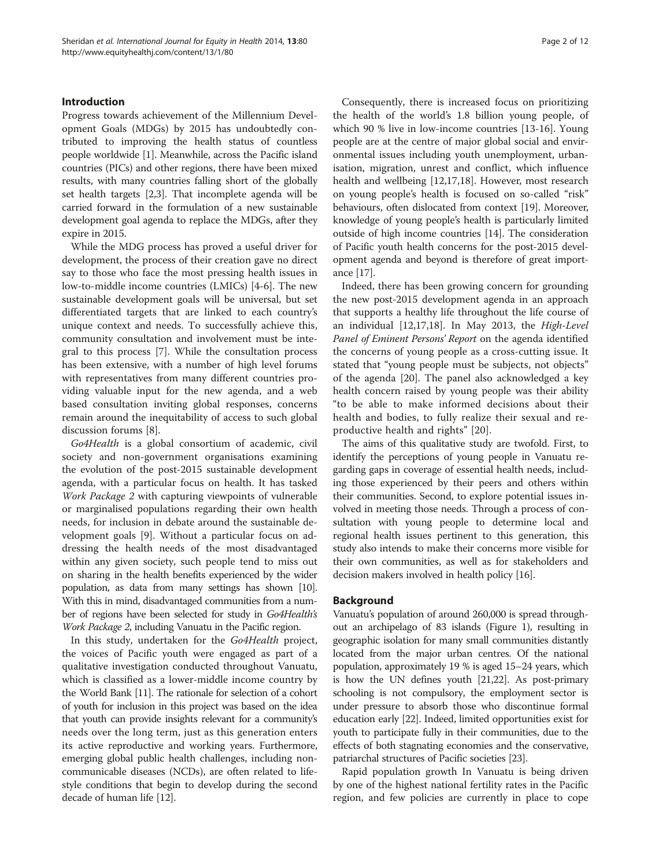#### Introduction

Progress towards achievement of the Millennium Development Goals (MDGs) by 2015 has undoubtedly contributed to improving the health status of countless people worldwide [\[1](#page-9-0)]. Meanwhile, across the Pacific island countries (PICs) and other regions, there have been mixed results, with many countries falling short of the globally set health targets [[2,3\]](#page-9-0). That incomplete agenda will be carried forward in the formulation of a new sustainable development goal agenda to replace the MDGs, after they expire in 2015.

While the MDG process has proved a useful driver for development, the process of their creation gave no direct say to those who face the most pressing health issues in low-to-middle income countries (LMICs) [[4-6](#page-9-0)]. The new sustainable development goals will be universal, but set differentiated targets that are linked to each country's unique context and needs. To successfully achieve this, community consultation and involvement must be integral to this process [\[7](#page-9-0)]. While the consultation process has been extensive, with a number of high level forums with representatives from many different countries providing valuable input for the new agenda, and a web based consultation inviting global responses, concerns remain around the inequitability of access to such global discussion forums [[8\]](#page-9-0).

Go4Health is a global consortium of academic, civil society and non-government organisations examining the evolution of the post-2015 sustainable development agenda, with a particular focus on health. It has tasked Work Package 2 with capturing viewpoints of vulnerable or marginalised populations regarding their own health needs, for inclusion in debate around the sustainable development goals [[9\]](#page-9-0). Without a particular focus on addressing the health needs of the most disadvantaged within any given society, such people tend to miss out on sharing in the health benefits experienced by the wider population, as data from many settings has shown [\[10](#page-9-0)]. With this in mind, disadvantaged communities from a number of regions have been selected for study in Go4Health's Work Package 2, including Vanuatu in the Pacific region.

In this study, undertaken for the Go4Health project, the voices of Pacific youth were engaged as part of a qualitative investigation conducted throughout Vanuatu, which is classified as a lower-middle income country by the World Bank [\[11](#page-9-0)]. The rationale for selection of a cohort of youth for inclusion in this project was based on the idea that youth can provide insights relevant for a community's needs over the long term, just as this generation enters its active reproductive and working years. Furthermore, emerging global public health challenges, including noncommunicable diseases (NCDs), are often related to lifestyle conditions that begin to develop during the second decade of human life [\[12\]](#page-9-0).

Consequently, there is increased focus on prioritizing the health of the world's 1.8 billion young people, of which 90 % live in low-income countries [\[13-16](#page-9-0)]. Young people are at the centre of major global social and environmental issues including youth unemployment, urbanisation, migration, unrest and conflict, which influence health and wellbeing [[12,17,18\]](#page-9-0). However, most research on young people's health is focused on so-called "risk" behaviours, often dislocated from context [[19](#page-9-0)]. Moreover, knowledge of young people's health is particularly limited outside of high income countries [[14](#page-9-0)]. The consideration of Pacific youth health concerns for the post-2015 development agenda and beyond is therefore of great importance [[17](#page-9-0)].

Indeed, there has been growing concern for grounding the new post-2015 development agenda in an approach that supports a healthy life throughout the life course of an individual [[12](#page-9-0),[17,18](#page-9-0)]. In May 2013, the High-Level Panel of Eminent Persons' Report on the agenda identified the concerns of young people as a cross-cutting issue. It stated that "young people must be subjects, not objects" of the agenda [\[20](#page-9-0)]. The panel also acknowledged a key health concern raised by young people was their ability "to be able to make informed decisions about their health and bodies, to fully realize their sexual and reproductive health and rights" [\[20](#page-9-0)].

The aims of this qualitative study are twofold. First, to identify the perceptions of young people in Vanuatu regarding gaps in coverage of essential health needs, including those experienced by their peers and others within their communities. Second, to explore potential issues involved in meeting those needs. Through a process of consultation with young people to determine local and regional health issues pertinent to this generation, this study also intends to make their concerns more visible for their own communities, as well as for stakeholders and decision makers involved in health policy [\[16\]](#page-9-0).

#### Background

Vanuatu's population of around 260,000 is spread throughout an archipelago of 83 islands (Figure [1](#page-2-0)), resulting in geographic isolation for many small communities distantly located from the major urban centres. Of the national population, approximately 19 % is aged 15–24 years, which is how the UN defines youth [\[21,22](#page-9-0)]. As post-primary schooling is not compulsory, the employment sector is under pressure to absorb those who discontinue formal education early [[22](#page-9-0)]. Indeed, limited opportunities exist for youth to participate fully in their communities, due to the effects of both stagnating economies and the conservative, patriarchal structures of Pacific societies [\[23\]](#page-10-0).

Rapid population growth In Vanuatu is being driven by one of the highest national fertility rates in the Pacific region, and few policies are currently in place to cope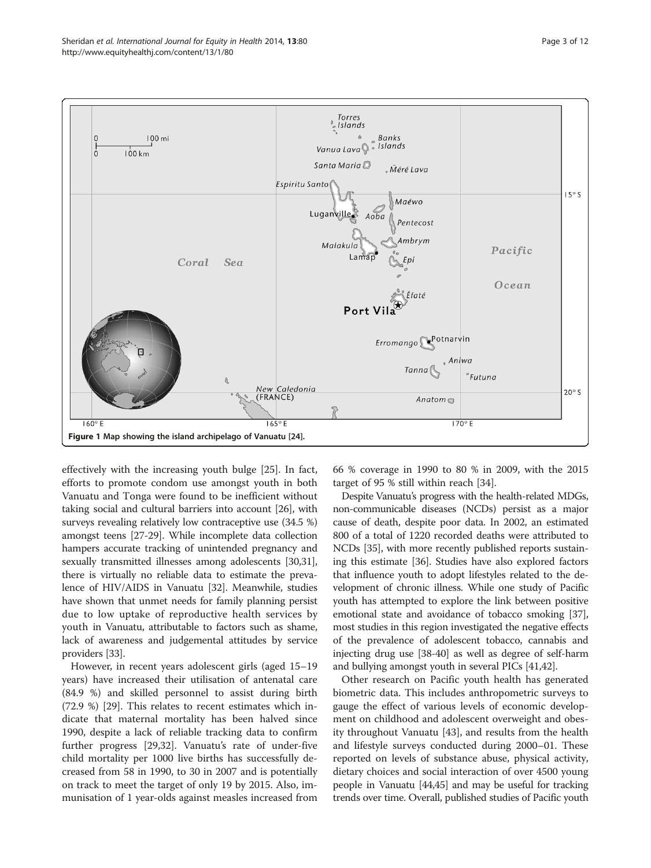<span id="page-2-0"></span>

effectively with the increasing youth bulge [[25\]](#page-10-0). In fact, efforts to promote condom use amongst youth in both Vanuatu and Tonga were found to be inefficient without taking social and cultural barriers into account [[26](#page-10-0)], with surveys revealing relatively low contraceptive use (34.5 %) amongst teens [\[27](#page-10-0)-[29](#page-10-0)]. While incomplete data collection hampers accurate tracking of unintended pregnancy and sexually transmitted illnesses among adolescents [\[30,31](#page-10-0)], there is virtually no reliable data to estimate the prevalence of HIV/AIDS in Vanuatu [\[32](#page-10-0)]. Meanwhile, studies have shown that unmet needs for family planning persist due to low uptake of reproductive health services by youth in Vanuatu, attributable to factors such as shame, lack of awareness and judgemental attitudes by service providers [[33](#page-10-0)].

However, in recent years adolescent girls (aged 15–19 years) have increased their utilisation of antenatal care (84.9 %) and skilled personnel to assist during birth (72.9 %) [\[29](#page-10-0)]. This relates to recent estimates which indicate that maternal mortality has been halved since 1990, despite a lack of reliable tracking data to confirm further progress [[29,32](#page-10-0)]. Vanuatu's rate of under-five child mortality per 1000 live births has successfully decreased from 58 in 1990, to 30 in 2007 and is potentially on track to meet the target of only 19 by 2015. Also, immunisation of 1 year-olds against measles increased from 66 % coverage in 1990 to 80 % in 2009, with the 2015 target of 95 % still within reach [\[34](#page-10-0)].

Despite Vanuatu's progress with the health-related MDGs, non-communicable diseases (NCDs) persist as a major cause of death, despite poor data. In 2002, an estimated 800 of a total of 1220 recorded deaths were attributed to NCDs [[35](#page-10-0)], with more recently published reports sustaining this estimate [[36\]](#page-10-0). Studies have also explored factors that influence youth to adopt lifestyles related to the development of chronic illness. While one study of Pacific youth has attempted to explore the link between positive emotional state and avoidance of tobacco smoking [[37](#page-10-0)], most studies in this region investigated the negative effects of the prevalence of adolescent tobacco, cannabis and injecting drug use [\[38](#page-10-0)-[40](#page-10-0)] as well as degree of self-harm and bullying amongst youth in several PICs [[41](#page-10-0),[42](#page-10-0)].

Other research on Pacific youth health has generated biometric data. This includes anthropometric surveys to gauge the effect of various levels of economic development on childhood and adolescent overweight and obesity throughout Vanuatu [[43\]](#page-10-0), and results from the health and lifestyle surveys conducted during 2000–01. These reported on levels of substance abuse, physical activity, dietary choices and social interaction of over 4500 young people in Vanuatu [\[44,45](#page-10-0)] and may be useful for tracking trends over time. Overall, published studies of Pacific youth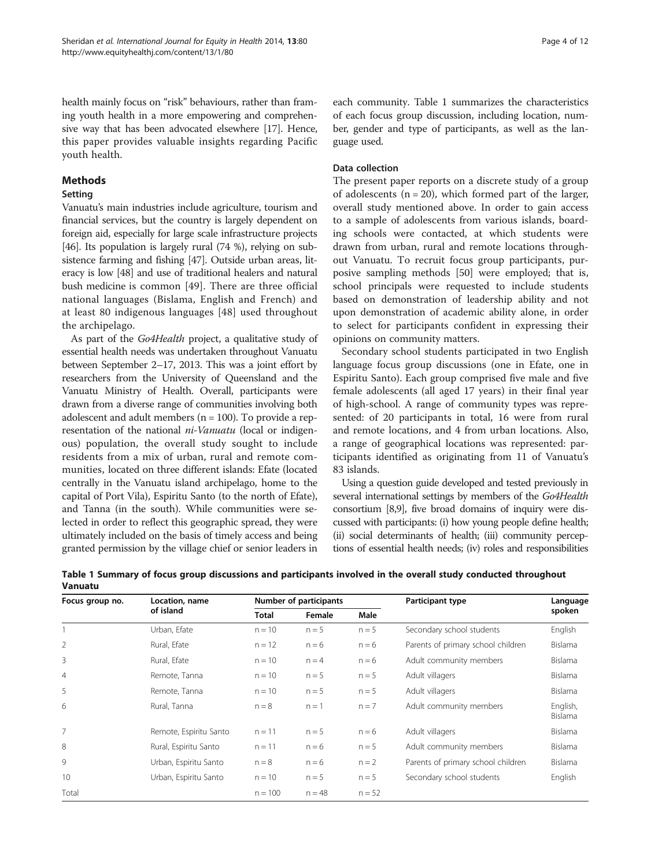health mainly focus on "risk" behaviours, rather than framing youth health in a more empowering and comprehensive way that has been advocated elsewhere [\[17\]](#page-9-0). Hence, this paper provides valuable insights regarding Pacific youth health.

## Methods

#### Setting

Vanuatu's main industries include agriculture, tourism and financial services, but the country is largely dependent on foreign aid, especially for large scale infrastructure projects [[46](#page-10-0)]. Its population is largely rural (74 %), relying on subsistence farming and fishing [\[47\]](#page-10-0). Outside urban areas, literacy is low [[48](#page-10-0)] and use of traditional healers and natural bush medicine is common [[49\]](#page-10-0). There are three official national languages (Bislama, English and French) and at least 80 indigenous languages [[48\]](#page-10-0) used throughout the archipelago.

As part of the Go4Health project, a qualitative study of essential health needs was undertaken throughout Vanuatu between September 2–17, 2013. This was a joint effort by researchers from the University of Queensland and the Vanuatu Ministry of Health. Overall, participants were drawn from a diverse range of communities involving both adolescent and adult members ( $n = 100$ ). To provide a representation of the national *ni-Vanuatu* (local or indigenous) population, the overall study sought to include residents from a mix of urban, rural and remote communities, located on three different islands: Efate (located centrally in the Vanuatu island archipelago, home to the capital of Port Vila), Espiritu Santo (to the north of Efate), and Tanna (in the south). While communities were selected in order to reflect this geographic spread, they were ultimately included on the basis of timely access and being granted permission by the village chief or senior leaders in

each community. Table 1 summarizes the characteristics of each focus group discussion, including location, number, gender and type of participants, as well as the language used.

#### Data collection

The present paper reports on a discrete study of a group of adolescents  $(n = 20)$ , which formed part of the larger, overall study mentioned above. In order to gain access to a sample of adolescents from various islands, boarding schools were contacted, at which students were drawn from urban, rural and remote locations throughout Vanuatu. To recruit focus group participants, purposive sampling methods [\[50\]](#page-10-0) were employed; that is, school principals were requested to include students based on demonstration of leadership ability and not upon demonstration of academic ability alone, in order to select for participants confident in expressing their opinions on community matters.

Secondary school students participated in two English language focus group discussions (one in Efate, one in Espiritu Santo). Each group comprised five male and five female adolescents (all aged 17 years) in their final year of high-school. A range of community types was represented: of 20 participants in total, 16 were from rural and remote locations, and 4 from urban locations. Also, a range of geographical locations was represented: participants identified as originating from 11 of Vanuatu's 83 islands.

Using a question guide developed and tested previously in several international settings by members of the Go4Health consortium [\[8,9](#page-9-0)], five broad domains of inquiry were discussed with participants: (i) how young people define health; (ii) social determinants of health; (iii) community perceptions of essential health needs; (iv) roles and responsibilities

| Focus group no. | Location, name<br>of island | Number of participants |          |          | Participant type                   | Language            |
|-----------------|-----------------------------|------------------------|----------|----------|------------------------------------|---------------------|
|                 |                             | Total                  | Female   | Male     |                                    | spoken              |
|                 | Urban, Efate                | $n = 10$               | $n = 5$  | $n = 5$  | Secondary school students          | English             |
| $\overline{2}$  | Rural, Efate                | $n = 12$               | $n = 6$  | $n = 6$  | Parents of primary school children | Bislama             |
| 3               | Rural, Efate                | $n = 10$               | $n = 4$  | $n = 6$  | Adult community members            | Bislama             |
| $\overline{4}$  | Remote, Tanna               | $n = 10$               | $n = 5$  | $n = 5$  | Adult villagers                    | Bislama             |
| 5               | Remote, Tanna               | $n = 10$               | $n = 5$  | $n = 5$  | Adult villagers                    | Bislama             |
| 6               | Rural, Tanna                | $n = 8$                | $n = 1$  | $n = 7$  | Adult community members            | English,<br>Bislama |
| $\overline{7}$  | Remote, Espiritu Santo      | $n = 11$               | $n = 5$  | $n = 6$  | Adult villagers                    | Bislama             |
| 8               | Rural, Espiritu Santo       | $n = 11$               | $n = 6$  | $n = 5$  | Adult community members            | Bislama             |
| 9               | Urban, Espiritu Santo       | $n = 8$                | $n = 6$  | $n = 2$  | Parents of primary school children | Bislama             |
| 10              | Urban, Espiritu Santo       | $n = 10$               | $n = 5$  | $n = 5$  | Secondary school students          | English             |
| Total           |                             | $n = 100$              | $n = 48$ | $n = 52$ |                                    |                     |

Table 1 Summary of focus group discussions and participants involved in the overall study conducted throughout Vanuatu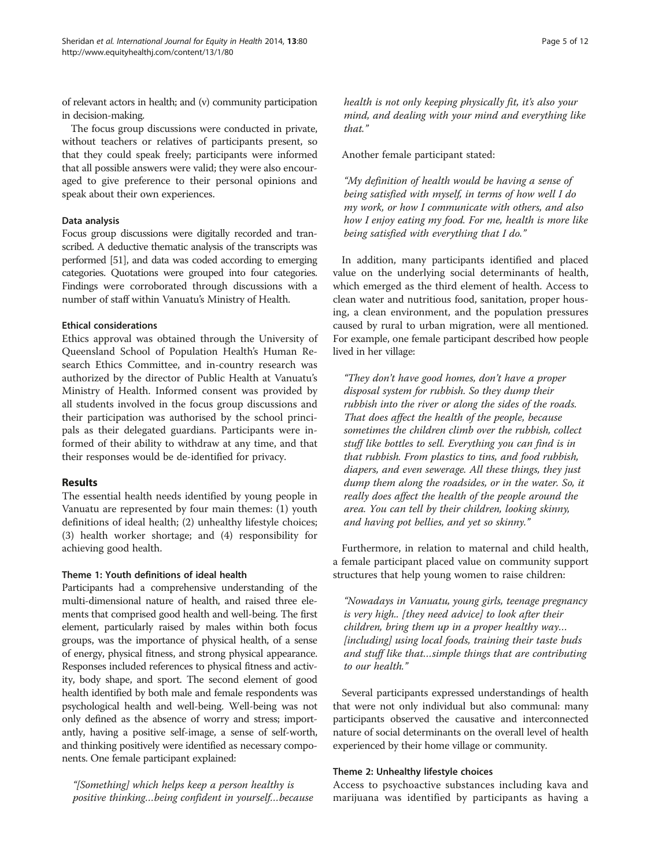of relevant actors in health; and (v) community participation in decision-making.

The focus group discussions were conducted in private, without teachers or relatives of participants present, so that they could speak freely; participants were informed that all possible answers were valid; they were also encouraged to give preference to their personal opinions and speak about their own experiences.

## Data analysis

Focus group discussions were digitally recorded and transcribed. A deductive thematic analysis of the transcripts was performed [\[51\]](#page-10-0), and data was coded according to emerging categories. Quotations were grouped into four categories. Findings were corroborated through discussions with a number of staff within Vanuatu's Ministry of Health.

#### Ethical considerations

Ethics approval was obtained through the University of Queensland School of Population Health's Human Research Ethics Committee, and in-country research was authorized by the director of Public Health at Vanuatu's Ministry of Health. Informed consent was provided by all students involved in the focus group discussions and their participation was authorised by the school principals as their delegated guardians. Participants were informed of their ability to withdraw at any time, and that their responses would be de-identified for privacy.

## Results

The essential health needs identified by young people in Vanuatu are represented by four main themes: (1) youth definitions of ideal health; (2) unhealthy lifestyle choices; (3) health worker shortage; and (4) responsibility for achieving good health.

#### Theme 1: Youth definitions of ideal health

Participants had a comprehensive understanding of the multi-dimensional nature of health, and raised three elements that comprised good health and well-being. The first element, particularly raised by males within both focus groups, was the importance of physical health, of a sense of energy, physical fitness, and strong physical appearance. Responses included references to physical fitness and activity, body shape, and sport. The second element of good health identified by both male and female respondents was psychological health and well-being. Well-being was not only defined as the absence of worry and stress; importantly, having a positive self-image, a sense of self-worth, and thinking positively were identified as necessary components. One female participant explained:

"[Something] which helps keep a person healthy is positive thinking…being confident in yourself…because health is not only keeping physically fit, it's also your mind, and dealing with your mind and everything like that."

#### Another female participant stated:

"My definition of health would be having a sense of being satisfied with myself, in terms of how well I do my work, or how I communicate with others, and also how I enjoy eating my food. For me, health is more like being satisfied with everything that I do."

In addition, many participants identified and placed value on the underlying social determinants of health, which emerged as the third element of health. Access to clean water and nutritious food, sanitation, proper housing, a clean environment, and the population pressures caused by rural to urban migration, were all mentioned. For example, one female participant described how people lived in her village:

"They don't have good homes, don't have a proper disposal system for rubbish. So they dump their rubbish into the river or along the sides of the roads. That does affect the health of the people, because sometimes the children climb over the rubbish, collect stuff like bottles to sell. Everything you can find is in that rubbish. From plastics to tins, and food rubbish, diapers, and even sewerage. All these things, they just dump them along the roadsides, or in the water. So, it really does affect the health of the people around the area. You can tell by their children, looking skinny, and having pot bellies, and yet so skinny."

Furthermore, in relation to maternal and child health, a female participant placed value on community support structures that help young women to raise children:

"Nowadays in Vanuatu, young girls, teenage pregnancy is very high.. [they need advice] to look after their children, bring them up in a proper healthy way… [including] using local foods, training their taste buds and stuff like that…simple things that are contributing to our health."

Several participants expressed understandings of health that were not only individual but also communal: many participants observed the causative and interconnected nature of social determinants on the overall level of health experienced by their home village or community.

#### Theme 2: Unhealthy lifestyle choices

Access to psychoactive substances including kava and marijuana was identified by participants as having a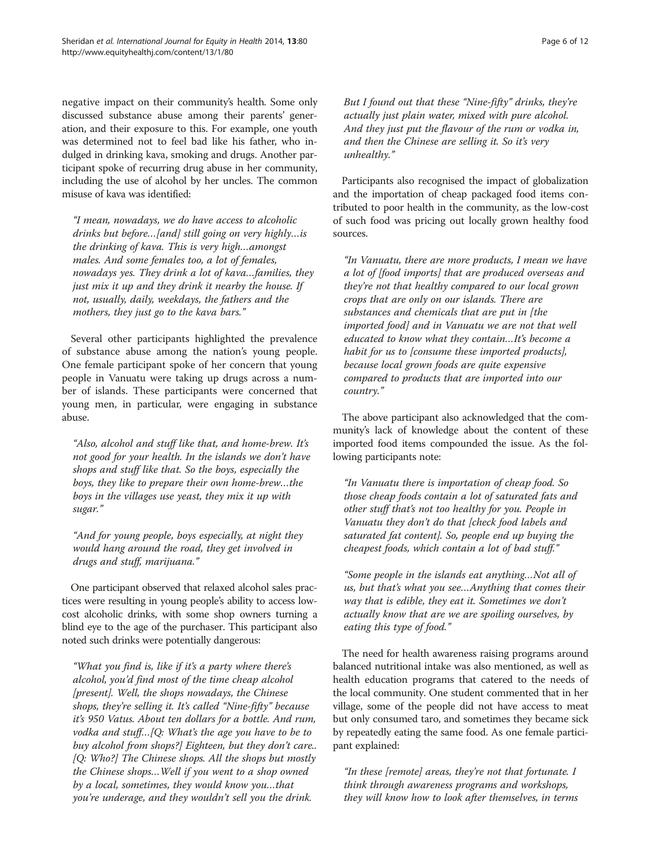negative impact on their community's health. Some only discussed substance abuse among their parents' generation, and their exposure to this. For example, one youth was determined not to feel bad like his father, who indulged in drinking kava, smoking and drugs. Another participant spoke of recurring drug abuse in her community, including the use of alcohol by her uncles. The common misuse of kava was identified:

"I mean, nowadays, we do have access to alcoholic drinks but before…[and] still going on very highly…is the drinking of kava. This is very high…amongst males. And some females too, a lot of females, nowadays yes. They drink a lot of kava…families, they just mix it up and they drink it nearby the house. If not, usually, daily, weekdays, the fathers and the mothers, they just go to the kava bars."

Several other participants highlighted the prevalence of substance abuse among the nation's young people. One female participant spoke of her concern that young people in Vanuatu were taking up drugs across a number of islands. These participants were concerned that young men, in particular, were engaging in substance abuse.

"Also, alcohol and stuff like that, and home-brew. It's not good for your health. In the islands we don't have shops and stuff like that. So the boys, especially the boys, they like to prepare their own home-brew…the boys in the villages use yeast, they mix it up with sugar."

"And for young people, boys especially, at night they would hang around the road, they get involved in drugs and stuff, marijuana."

One participant observed that relaxed alcohol sales practices were resulting in young people's ability to access lowcost alcoholic drinks, with some shop owners turning a blind eye to the age of the purchaser. This participant also noted such drinks were potentially dangerous:

"What you find is, like if it's a party where there's alcohol, you'd find most of the time cheap alcohol [present]. Well, the shops nowadays, the Chinese shops, they're selling it. It's called "Nine-fifty" because it's 950 Vatus. About ten dollars for a bottle. And rum, vodka and stuff…[Q: What's the age you have to be to buy alcohol from shops?] Eighteen, but they don't care.. [Q: Who?] The Chinese shops. All the shops but mostly the Chinese shops…Well if you went to a shop owned by a local, sometimes, they would know you…that you're underage, and they wouldn't sell you the drink.

But I found out that these "Nine-fifty" drinks, they're actually just plain water, mixed with pure alcohol. And they just put the flavour of the rum or vodka in, and then the Chinese are selling it. So it's very unhealthy."

Participants also recognised the impact of globalization and the importation of cheap packaged food items contributed to poor health in the community, as the low-cost of such food was pricing out locally grown healthy food sources.

"In Vanuatu, there are more products, I mean we have a lot of [food imports] that are produced overseas and they're not that healthy compared to our local grown crops that are only on our islands. There are substances and chemicals that are put in [the imported food] and in Vanuatu we are not that well educated to know what they contain…It's become a habit for us to [consume these imported products], because local grown foods are quite expensive compared to products that are imported into our country."

The above participant also acknowledged that the community's lack of knowledge about the content of these imported food items compounded the issue. As the following participants note:

"In Vanuatu there is importation of cheap food. So those cheap foods contain a lot of saturated fats and other stuff that's not too healthy for you. People in Vanuatu they don't do that [check food labels and saturated fat content]. So, people end up buying the cheapest foods, which contain a lot of bad stuff."

"Some people in the islands eat anything…Not all of us, but that's what you see…Anything that comes their way that is edible, they eat it. Sometimes we don't actually know that are we are spoiling ourselves, by eating this type of food."

The need for health awareness raising programs around balanced nutritional intake was also mentioned, as well as health education programs that catered to the needs of the local community. One student commented that in her village, some of the people did not have access to meat but only consumed taro, and sometimes they became sick by repeatedly eating the same food. As one female participant explained:

"In these [remote] areas, they're not that fortunate. I think through awareness programs and workshops, they will know how to look after themselves, in terms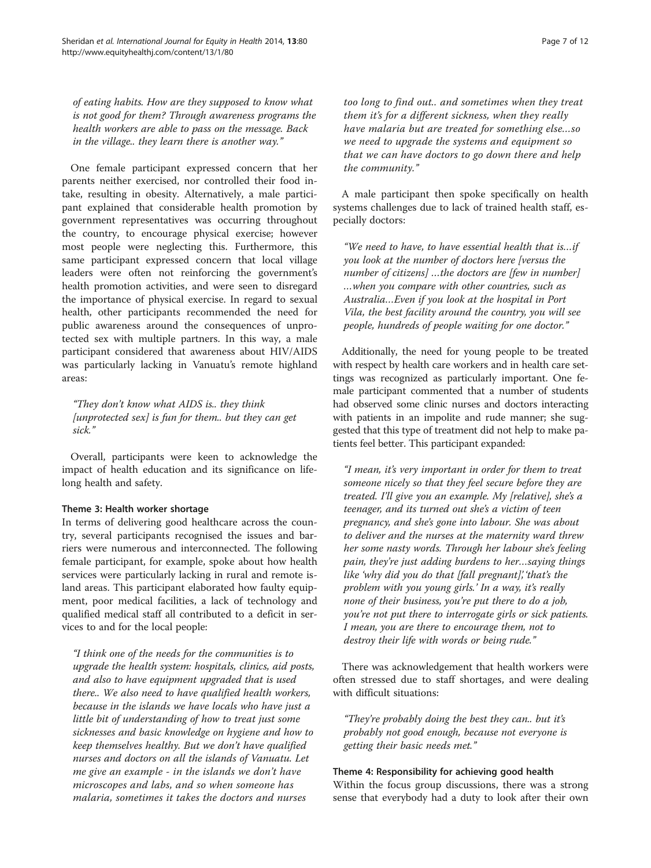of eating habits. How are they supposed to know what is not good for them? Through awareness programs the health workers are able to pass on the message. Back in the village.. they learn there is another way."

One female participant expressed concern that her parents neither exercised, nor controlled their food intake, resulting in obesity. Alternatively, a male participant explained that considerable health promotion by government representatives was occurring throughout the country, to encourage physical exercise; however most people were neglecting this. Furthermore, this same participant expressed concern that local village leaders were often not reinforcing the government's health promotion activities, and were seen to disregard the importance of physical exercise. In regard to sexual health, other participants recommended the need for public awareness around the consequences of unprotected sex with multiple partners. In this way, a male participant considered that awareness about HIV/AIDS was particularly lacking in Vanuatu's remote highland areas:

"They don't know what AIDS is.. they think  $[unprotected sex]$  is fun for them.. but they can get sick."

Overall, participants were keen to acknowledge the impact of health education and its significance on lifelong health and safety.

## Theme 3: Health worker shortage

In terms of delivering good healthcare across the country, several participants recognised the issues and barriers were numerous and interconnected. The following female participant, for example, spoke about how health services were particularly lacking in rural and remote island areas. This participant elaborated how faulty equipment, poor medical facilities, a lack of technology and qualified medical staff all contributed to a deficit in services to and for the local people:

"I think one of the needs for the communities is to upgrade the health system: hospitals, clinics, aid posts, and also to have equipment upgraded that is used there.. We also need to have qualified health workers, because in the islands we have locals who have just a little bit of understanding of how to treat just some sicknesses and basic knowledge on hygiene and how to keep themselves healthy. But we don't have qualified nurses and doctors on all the islands of Vanuatu. Let me give an example - in the islands we don't have microscopes and labs, and so when someone has malaria, sometimes it takes the doctors and nurses

too long to find out.. and sometimes when they treat them it's for a different sickness, when they really have malaria but are treated for something else…so we need to upgrade the systems and equipment so that we can have doctors to go down there and help the community."

A male participant then spoke specifically on health systems challenges due to lack of trained health staff, especially doctors:

"We need to have, to have essential health that is…if you look at the number of doctors here [versus the number of citizens] ...the doctors are [few in number] …when you compare with other countries, such as Australia…Even if you look at the hospital in Port Vila, the best facility around the country, you will see people, hundreds of people waiting for one doctor."

Additionally, the need for young people to be treated with respect by health care workers and in health care settings was recognized as particularly important. One female participant commented that a number of students had observed some clinic nurses and doctors interacting with patients in an impolite and rude manner; she suggested that this type of treatment did not help to make patients feel better. This participant expanded:

"I mean, it's very important in order for them to treat someone nicely so that they feel secure before they are treated. I'll give you an example. My [relative], she's a teenager, and its turned out she's a victim of teen pregnancy, and she's gone into labour. She was about to deliver and the nurses at the maternity ward threw her some nasty words. Through her labour she's feeling pain, they're just adding burdens to her…saying things like 'why did you do that [fall pregnant]', 'that's the problem with you young girls.' In a way, it's really none of their business, you're put there to do a job, you're not put there to interrogate girls or sick patients. I mean, you are there to encourage them, not to destroy their life with words or being rude."

There was acknowledgement that health workers were often stressed due to staff shortages, and were dealing with difficult situations:

"They're probably doing the best they can.. but it's probably not good enough, because not everyone is getting their basic needs met."

#### Theme 4: Responsibility for achieving good health

Within the focus group discussions, there was a strong sense that everybody had a duty to look after their own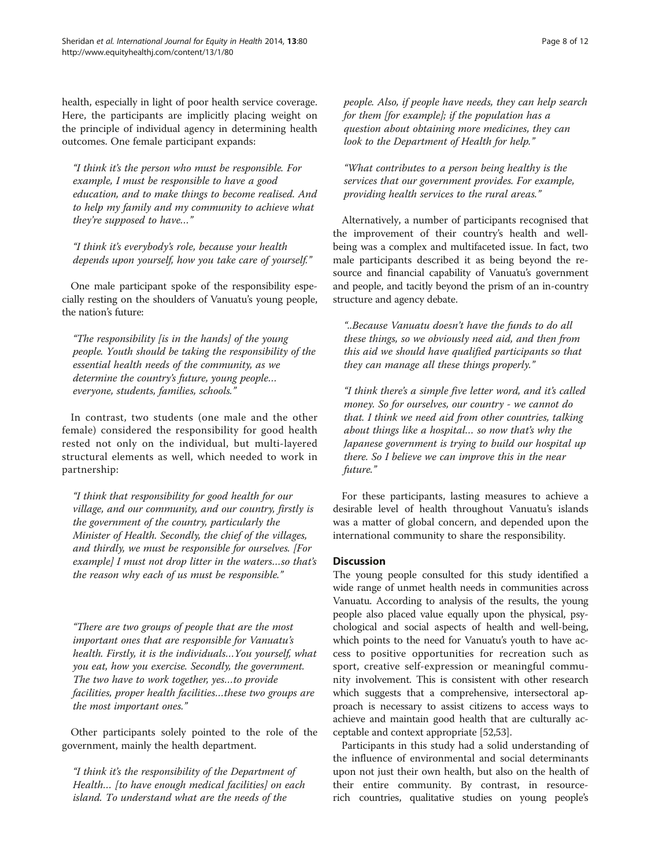health, especially in light of poor health service coverage. Here, the participants are implicitly placing weight on the principle of individual agency in determining health outcomes. One female participant expands:

"I think it's the person who must be responsible. For example, I must be responsible to have a good education, and to make things to become realised. And to help my family and my community to achieve what they're supposed to have…"

"I think it's everybody's role, because your health depends upon yourself, how you take care of yourself."

One male participant spoke of the responsibility especially resting on the shoulders of Vanuatu's young people, the nation's future:

"The responsibility [is in the hands] of the young people. Youth should be taking the responsibility of the essential health needs of the community, as we determine the country's future, young people… everyone, students, families, schools."

In contrast, two students (one male and the other female) considered the responsibility for good health rested not only on the individual, but multi-layered structural elements as well, which needed to work in partnership:

"I think that responsibility for good health for our village, and our community, and our country, firstly is the government of the country, particularly the Minister of Health. Secondly, the chief of the villages, and thirdly, we must be responsible for ourselves. [For example] I must not drop litter in the waters…so that's the reason why each of us must be responsible."

"There are two groups of people that are the most important ones that are responsible for Vanuatu's health. Firstly, it is the individuals…You yourself, what you eat, how you exercise. Secondly, the government. The two have to work together, yes…to provide facilities, proper health facilities…these two groups are the most important ones."

Other participants solely pointed to the role of the government, mainly the health department.

"I think it's the responsibility of the Department of Health… [to have enough medical facilities] on each island. To understand what are the needs of the

people. Also, if people have needs, they can help search for them [for example]; if the population has a question about obtaining more medicines, they can look to the Department of Health for help."

"What contributes to a person being healthy is the services that our government provides. For example, providing health services to the rural areas."

Alternatively, a number of participants recognised that the improvement of their country's health and wellbeing was a complex and multifaceted issue. In fact, two male participants described it as being beyond the resource and financial capability of Vanuatu's government and people, and tacitly beyond the prism of an in-country structure and agency debate.

"..Because Vanuatu doesn't have the funds to do all these things, so we obviously need aid, and then from this aid we should have qualified participants so that they can manage all these things properly."

"I think there's a simple five letter word, and it's called money. So for ourselves, our country - we cannot do that. I think we need aid from other countries, talking about things like a hospital… so now that's why the Japanese government is trying to build our hospital up there. So I believe we can improve this in the near future."

For these participants, lasting measures to achieve a desirable level of health throughout Vanuatu's islands was a matter of global concern, and depended upon the international community to share the responsibility.

## **Discussion**

The young people consulted for this study identified a wide range of unmet health needs in communities across Vanuatu. According to analysis of the results, the young people also placed value equally upon the physical, psychological and social aspects of health and well-being, which points to the need for Vanuatu's youth to have access to positive opportunities for recreation such as sport, creative self-expression or meaningful community involvement. This is consistent with other research which suggests that a comprehensive, intersectoral approach is necessary to assist citizens to access ways to achieve and maintain good health that are culturally acceptable and context appropriate [\[52,53](#page-10-0)].

Participants in this study had a solid understanding of the influence of environmental and social determinants upon not just their own health, but also on the health of their entire community. By contrast, in resourcerich countries, qualitative studies on young people's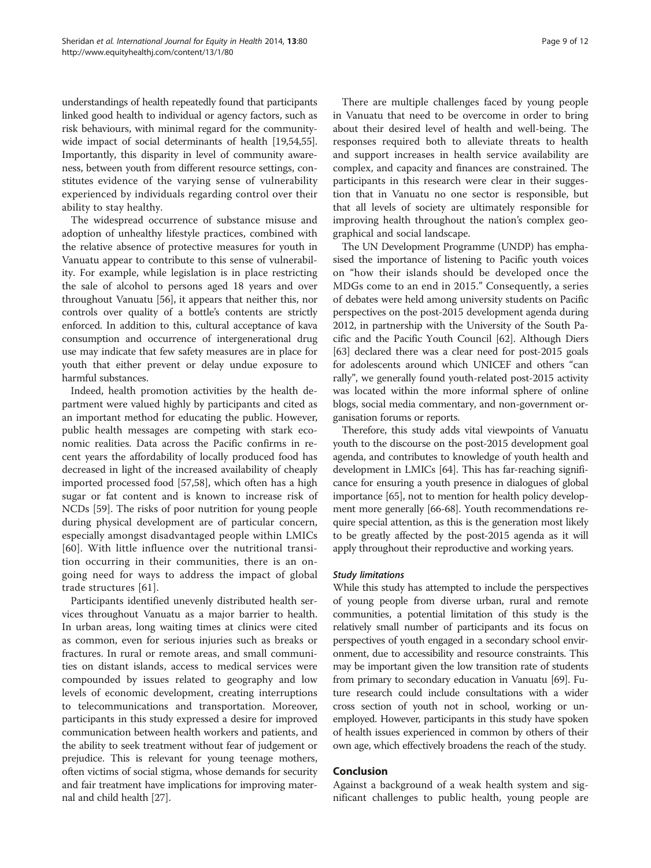understandings of health repeatedly found that participants linked good health to individual or agency factors, such as risk behaviours, with minimal regard for the communitywide impact of social determinants of health [\[19,](#page-9-0)[54,55](#page-10-0)]. Importantly, this disparity in level of community awareness, between youth from different resource settings, constitutes evidence of the varying sense of vulnerability experienced by individuals regarding control over their ability to stay healthy.

The widespread occurrence of substance misuse and adoption of unhealthy lifestyle practices, combined with the relative absence of protective measures for youth in Vanuatu appear to contribute to this sense of vulnerability. For example, while legislation is in place restricting the sale of alcohol to persons aged 18 years and over throughout Vanuatu [\[56\]](#page-10-0), it appears that neither this, nor controls over quality of a bottle's contents are strictly enforced. In addition to this, cultural acceptance of kava consumption and occurrence of intergenerational drug use may indicate that few safety measures are in place for youth that either prevent or delay undue exposure to harmful substances.

Indeed, health promotion activities by the health department were valued highly by participants and cited as an important method for educating the public. However, public health messages are competing with stark economic realities. Data across the Pacific confirms in recent years the affordability of locally produced food has decreased in light of the increased availability of cheaply imported processed food [[57](#page-10-0),[58](#page-10-0)], which often has a high sugar or fat content and is known to increase risk of NCDs [\[59\]](#page-10-0). The risks of poor nutrition for young people during physical development are of particular concern, especially amongst disadvantaged people within LMICs [[60](#page-10-0)]. With little influence over the nutritional transition occurring in their communities, there is an ongoing need for ways to address the impact of global trade structures [[61\]](#page-10-0).

Participants identified unevenly distributed health services throughout Vanuatu as a major barrier to health. In urban areas, long waiting times at clinics were cited as common, even for serious injuries such as breaks or fractures. In rural or remote areas, and small communities on distant islands, access to medical services were compounded by issues related to geography and low levels of economic development, creating interruptions to telecommunications and transportation. Moreover, participants in this study expressed a desire for improved communication between health workers and patients, and the ability to seek treatment without fear of judgement or prejudice. This is relevant for young teenage mothers, often victims of social stigma, whose demands for security and fair treatment have implications for improving maternal and child health [\[27](#page-10-0)].

There are multiple challenges faced by young people in Vanuatu that need to be overcome in order to bring about their desired level of health and well-being. The responses required both to alleviate threats to health and support increases in health service availability are complex, and capacity and finances are constrained. The participants in this research were clear in their suggestion that in Vanuatu no one sector is responsible, but that all levels of society are ultimately responsible for improving health throughout the nation's complex geographical and social landscape.

The UN Development Programme (UNDP) has emphasised the importance of listening to Pacific youth voices on "how their islands should be developed once the MDGs come to an end in 2015." Consequently, a series of debates were held among university students on Pacific perspectives on the post-2015 development agenda during 2012, in partnership with the University of the South Pacific and the Pacific Youth Council [\[62\]](#page-10-0). Although Diers [[63](#page-10-0)] declared there was a clear need for post-2015 goals for adolescents around which UNICEF and others "can rally", we generally found youth-related post-2015 activity was located within the more informal sphere of online blogs, social media commentary, and non-government organisation forums or reports.

Therefore, this study adds vital viewpoints of Vanuatu youth to the discourse on the post-2015 development goal agenda, and contributes to knowledge of youth health and development in LMICs [[64](#page-10-0)]. This has far-reaching significance for ensuring a youth presence in dialogues of global importance [\[65](#page-10-0)], not to mention for health policy development more generally [\[66-](#page-10-0)[68\]](#page-11-0). Youth recommendations require special attention, as this is the generation most likely to be greatly affected by the post-2015 agenda as it will apply throughout their reproductive and working years.

#### Study limitations

While this study has attempted to include the perspectives of young people from diverse urban, rural and remote communities, a potential limitation of this study is the relatively small number of participants and its focus on perspectives of youth engaged in a secondary school environment, due to accessibility and resource constraints. This may be important given the low transition rate of students from primary to secondary education in Vanuatu [\[69\]](#page-11-0). Future research could include consultations with a wider cross section of youth not in school, working or unemployed. However, participants in this study have spoken of health issues experienced in common by others of their own age, which effectively broadens the reach of the study.

## Conclusion

Against a background of a weak health system and significant challenges to public health, young people are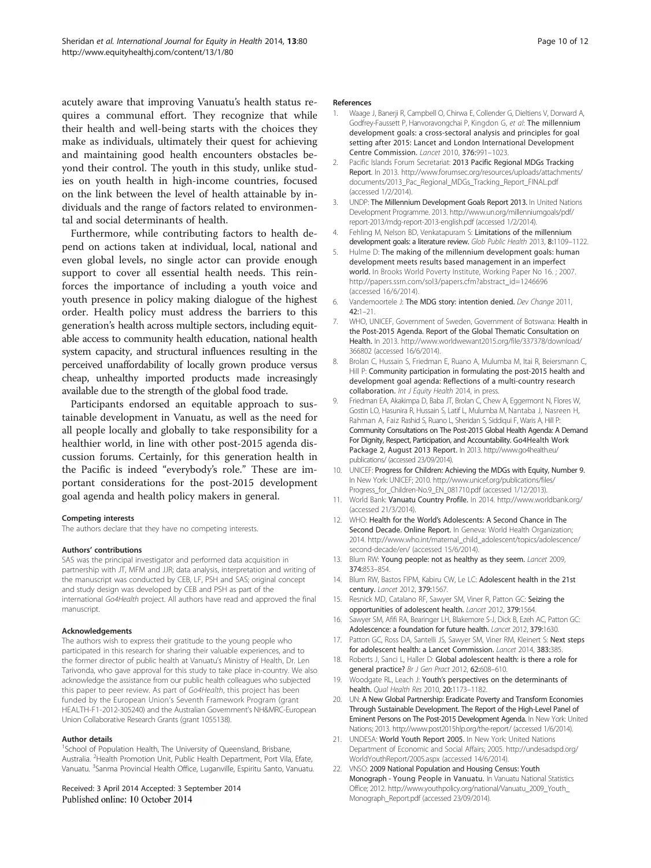<span id="page-9-0"></span>acutely aware that improving Vanuatu's health status requires a communal effort. They recognize that while their health and well-being starts with the choices they make as individuals, ultimately their quest for achieving and maintaining good health encounters obstacles beyond their control. The youth in this study, unlike studies on youth health in high-income countries, focused on the link between the level of health attainable by individuals and the range of factors related to environmental and social determinants of health.

Furthermore, while contributing factors to health depend on actions taken at individual, local, national and even global levels, no single actor can provide enough support to cover all essential health needs. This reinforces the importance of including a youth voice and youth presence in policy making dialogue of the highest order. Health policy must address the barriers to this generation's health across multiple sectors, including equitable access to community health education, national health system capacity, and structural influences resulting in the perceived unaffordability of locally grown produce versus cheap, unhealthy imported products made increasingly available due to the strength of the global food trade.

Participants endorsed an equitable approach to sustainable development in Vanuatu, as well as the need for all people locally and globally to take responsibility for a healthier world, in line with other post-2015 agenda discussion forums. Certainly, for this generation health in the Pacific is indeed "everybody's role." These are important considerations for the post-2015 development goal agenda and health policy makers in general.

#### Competing interests

The authors declare that they have no competing interests.

#### Authors' contributions

SAS was the principal investigator and performed data acquisition in partnership with JT, MFM and JJR; data analysis, interpretation and writing of the manuscript was conducted by CEB, LF, PSH and SAS; original concept and study design was developed by CEB and PSH as part of the international Go4Health project. All authors have read and approved the final manuscript.

#### Acknowledgements

The authors wish to express their gratitude to the young people who participated in this research for sharing their valuable experiences, and to the former director of public health at Vanuatu's Ministry of Health, Dr. Len Tarivonda, who gave approval for this study to take place in-country. We also acknowledge the assistance from our public health colleagues who subjected this paper to peer review. As part of Go4Health, this project has been funded by the European Union's Seventh Framework Program (grant HEALTH-F1-2012-305240) and the Australian Government's NH&MRC-European Union Collaborative Research Grants (grant 1055138).

#### Author details

<sup>1</sup>School of Population Health, The University of Queensland, Brisbane, Australia. <sup>2</sup>Health Promotion Unit, Public Health Department, Port Vila, Efate, Vanuatu. <sup>3</sup>Sanma Provincial Health Office, Luganville, Espiritu Santo, Vanuatu.

Received: 3 April 2014 Accepted: 3 September 2014 Published online: 10 October 2014

#### References

- 1. Waage J, Banerji R, Campbell O, Chirwa E, Collender G, Dieltiens V, Dorward A, Godfrey-Faussett P, Hanvoravongchai P, Kingdon G, et al: The millennium development goals: a cross-sectoral analysis and principles for goal setting after 2015: Lancet and London International Development Centre Commission. Lancet 2010, 376:991–1023.
- 2. Pacific Islands Forum Secretariat: 2013 Pacific Regional MDGs Tracking Report. In 2013. [http://www.forumsec.org/resources/uploads/attachments/](http://www.forumsec.org/resources/uploads/attachments/documents/2013_Pac_Regional_MDGs_Tracking_Report_FINAL.pdf) [documents/2013\\_Pac\\_Regional\\_MDGs\\_Tracking\\_Report\\_FINAL.pdf](http://www.forumsec.org/resources/uploads/attachments/documents/2013_Pac_Regional_MDGs_Tracking_Report_FINAL.pdf) (accessed 1/2/2014).
- 3. UNDP: The Millennium Development Goals Report 2013. In United Nations Development Programme. 2013. [http://www.un.org/millenniumgoals/pdf/](http://www.un.org/millenniumgoals/pdf/report-2013/mdg-report-2013-english.pdf) [report-2013/mdg-report-2013-english.pdf](http://www.un.org/millenniumgoals/pdf/report-2013/mdg-report-2013-english.pdf) (accessed 1/2/2014).
- 4. Fehling M, Nelson BD, Venkatapuram S: Limitations of the millennium development goals: a literature review. Glob Public Health 2013, 8:1109-1122.
- 5. Hulme D: The making of the millennium development goals: human development meets results based management in an imperfect world. In Brooks World Poverty Institute, Working Paper No 16. ; 2007. [http://papers.ssrn.com/sol3/papers.cfm?abstract\\_id=1246696](http://papers.ssrn.com/sol3/papers.cfm?abstract_id=1246696) (accessed 16/6/2014).
- 6. Vandemoortele J: The MDG story: intention denied. Dev Change 2011,  $42:1 - 21$
- 7. WHO, UNICEF, Government of Sweden, Government of Botswana: Health in the Post-2015 Agenda. Report of the Global Thematic Consultation on Health. In 2013. [http://www.worldwewant2015.org/file/337378/download/](http://www.worldwewant2015.org/file/337378/download/366802) [366802](http://www.worldwewant2015.org/file/337378/download/366802) (accessed 16/6/2014).
- 8. Brolan C, Hussain S, Friedman E, Ruano A, Mulumba M, Itai R, Beiersmann C, Hill P: Community participation in formulating the post-2015 health and development goal agenda: Reflections of a multi-country research collaboration. Int J Equity Health 2014, in press.
- 9. Friedman EA, Akakimpa D, Baba JT, Brolan C, Chew A, Eggermont N, Flores W, Gostin LO, Hasunira R, Hussain S, Latif L, Mulumba M, Nantaba J, Nasreen H, Rahman A, Faiz Rashid S, Ruano L, Sheridan S, Siddiqui F, Waris A, Hill P: Community Consultations on The Post-2015 Global Health Agenda: A Demand For Dignity, Respect, Participation, and Accountability. Go4Health Work Package 2, August 2013 Report. In 2013. [http://www.go4health.eu/](http://www.go4health.eu/publications/) [publications/](http://www.go4health.eu/publications/) (accessed 23/09/2014).
- 10. UNICEF: Progress for Children: Achieving the MDGs with Equity, Number 9. In New York: UNICEF; 2010. [http://www.unicef.org/publications/files/](http://www.unicef.org/publications/files/Progress_for_Children-No.9_EN_081710.pdf) Progress for Children-No.9 EN 081710.pdf (accessed 1/12/2013).
- 11. World Bank: Vanuatu Country Profile. In 2014.<http://www.worldbank.org/> (accessed 21/3/2014).
- 12. WHO: Health for the World's Adolescents: A Second Chance in The Second Decade. Online Report. In Geneva: World Health Organization: 2014. [http://www.who.int/maternal\\_child\\_adolescent/topics/adolescence/](http://www.who.int/maternal_child_adolescent/topics/adolescence/second-decade/en/) [second-decade/en/](http://www.who.int/maternal_child_adolescent/topics/adolescence/second-decade/en/) (accessed 15/6/2014).
- 13. Blum RW: Young people: not as healthy as they seem. Lancet 2009, 374:853–854.
- 14. Blum RW, Bastos FIPM, Kabiru CW, Le LC: Adolescent health in the 21st century. Lancet 2012, 379:1567.
- 15. Resnick MD, Catalano RF, Sawyer SM, Viner R, Patton GC: Seizing the opportunities of adolescent health. Lancet 2012, 379:1564.
- 16. Sawyer SM, Afifi RA, Bearinger LH, Blakemore S-J, Dick B, Ezeh AC, Patton GC: Adolescence: a foundation for future health. Lancet 2012, 379:1630.
- 17. Patton GC, Ross DA, Santelli JS, Sawyer SM, Viner RM, Kleinert S: Next steps for adolescent health: a Lancet Commission. *Lancet* 2014, 383:385.
- 18. Roberts J, Sanci L, Haller D: Global adolescent health: is there a role for general practice? Br J Gen Pract 2012, 62:608-610.
- 19. Woodgate RL, Leach J: Youth's perspectives on the determinants of health. Qual Health Res 2010, 20:1173–1182.
- 20. UN: A New Global Partnership: Eradicate Poverty and Transform Economies Through Sustainable Development. The Report of the High-Level Panel of Eminent Persons on The Post-2015 Development Agenda. In New York: United Nations; 2013.<http://www.post2015hlp.org/the-report/> (accessed 1/6/2014).
- 21. UNDESA: World Youth Report 2005. In New York: United Nations Department of Economic and Social Affairs; 2005. [http://undesadspd.org/](http://undesadspd.org/WorldYouthReport/2005.aspx) [WorldYouthReport/2005.aspx](http://undesadspd.org/WorldYouthReport/2005.aspx) (accessed 14/6/2014).
- 22. VNSO: 2009 National Population and Housing Census: Youth Monograph - Young People in Vanuatu. In Vanuatu National Statistics Office; 2012. [http://www.youthpolicy.org/national/Vanuatu\\_2009\\_Youth\\_](http://www.youthpolicy.org/national/Vanuatu_2009_Youth_Monograph_Report.pdf) [Monograph\\_Report.pdf](http://www.youthpolicy.org/national/Vanuatu_2009_Youth_Monograph_Report.pdf) (accessed 23/09/2014).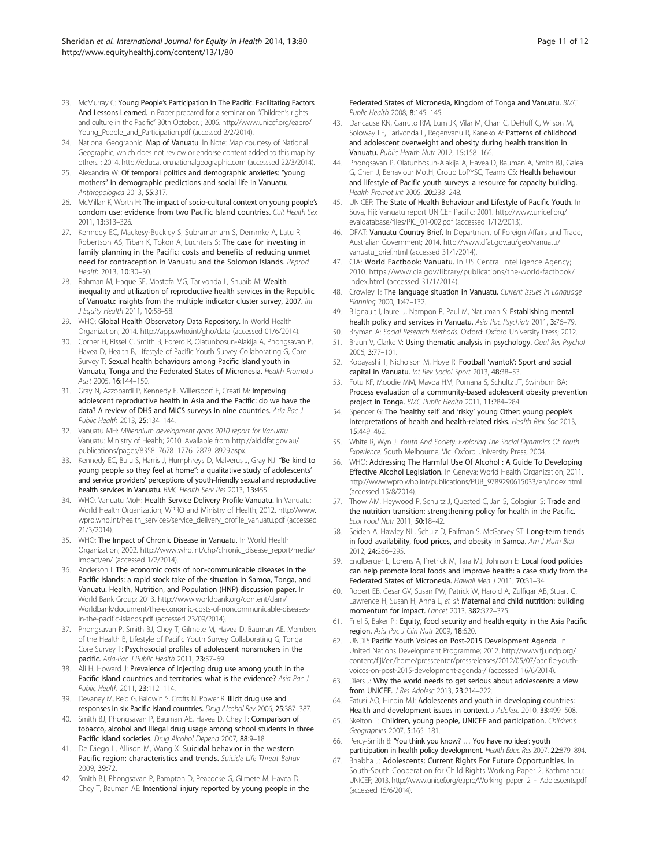- <span id="page-10-0"></span>23. McMurray C: Young People's Participation In The Pacific: Facilitating Factors And Lessons Learned. In Paper prepared for a seminar on "Children's rights and culture in the Pacific" 30th October. ; 2006. [http://www.unicef.org/eapro/](http://www.unicef.org/eapro/Young_People_and_Participation.pdf) [Young\\_People\\_and\\_Participation.pdf](http://www.unicef.org/eapro/Young_People_and_Participation.pdf) (accessed 2/2/2014).
- 24. National Geographic: Map of Vanuatu. In Note: Map courtesy of National Geographic, which does not review or endorse content added to this map by others. ; 2014. [http://education.nationalgeographic.com](http://education.nationalgeographic.com/) (accesssed 22/3/2014).
- 25. Alexandra W: Of temporal politics and demographic anxieties: "young mothers" in demographic predictions and social life in Vanuatu. Anthropologica 2013, 55:317.
- 26. McMillan K, Worth H: The impact of socio-cultural context on young people's condom use: evidence from two Pacific Island countries. Cult Health Sex 2011, 13:313–326.
- 27. Kennedy EC, Mackesy-Buckley S, Subramaniam S, Demmke A, Latu R, Robertson AS, Tiban K, Tokon A, Luchters S: The case for investing in family planning in the Pacific: costs and benefits of reducing unmet need for contraception in Vanuatu and the Solomon Islands. Reprod Health 2013, 10:30–30.
- 28. Rahman M, Haque SE, Mostofa MG, Tarivonda L, Shuaib M: Wealth inequality and utilization of reproductive health services in the Republic of Vanuatu: insights from the multiple indicator cluster survey, 2007. Int J Equity Health 2011, 10:58–58.
- 29. WHO: Global Health Observatory Data Repository. In World Health Organization; 2014.<http://apps.who.int/gho/data> (accessed 01/6/2014).
- 30. Corner H, Rissel C, Smith B, Forero R, Olatunbosun-Alakija A, Phongsavan P, Havea D, Health B, Lifestyle of Pacific Youth Survey Collaborating G, Core Survey T: Sexual health behaviours among Pacific Island youth in Vanuatu, Tonga and the Federated States of Micronesia. Health Promot J Aust 2005, 16:144-150.
- 31. Gray N, Azzopardi P, Kennedy E, Willersdorf E, Creati M: Improving adolescent reproductive health in Asia and the Pacific: do we have the data? A review of DHS and MICS surveys in nine countries. Asia Pac J Public Health 2013, 25:134–144.
- 32. Vanuatu MH: Millennium development goals 2010 report for Vanuatu. Vanuatu: Ministry of Health; 2010. Available from [http://aid.dfat.gov.au/](http://aid.dfat.gov.au/publications/pages/8358_7678_1776_2879_8929.aspx) [publications/pages/8358\\_7678\\_1776\\_2879\\_8929.aspx](http://aid.dfat.gov.au/publications/pages/8358_7678_1776_2879_8929.aspx).
- 33. Kennedy EC, Bulu S, Harris J, Humphreys D, Malverus J, Gray NJ: "Be kind to young people so they feel at home": a qualitative study of adolescents' and service providers' perceptions of youth-friendly sexual and reproductive health services in Vanuatu. BMC Health Serv Res 2013, 13:455.
- 34. WHO, Vanuatu MoH: Health Service Delivery Profile Vanuatu. In Vanuatu: World Health Organization, WPRO and Ministry of Health; 2012. [http://www.](http://www.wpro.who.int/health_services/service_delivery_profile_vanuatu.pdf) [wpro.who.int/health\\_services/service\\_delivery\\_profile\\_vanuatu.pdf](http://www.wpro.who.int/health_services/service_delivery_profile_vanuatu.pdf) (accessed 21/3/2014).
- 35. WHO: The Impact of Chronic Disease in Vanuatu. In World Health Organization; 2002. [http://www.who.int/chp/chronic\\_disease\\_report/media/](http://www.who.int/chp/chronic_disease_report/media/impact/en/) [impact/en/](http://www.who.int/chp/chronic_disease_report/media/impact/en/) (accessed 1/2/2014).
- 36. Anderson I: The economic costs of non-communicable diseases in the Pacific Islands: a rapid stock take of the situation in Samoa, Tonga, and Vanuatu. Health, Nutrition, and Population (HNP) discussion paper. In World Bank Group; 2013. [http://www.worldbank.org/content/dam/](http://www.worldbank.org/content/dam/Worldbank/document/the-economic-costs-of-noncommunicable-diseases-in-the-pacific-islands.pdf) [Worldbank/document/the-economic-costs-of-noncommunicable-diseases](http://www.worldbank.org/content/dam/Worldbank/document/the-economic-costs-of-noncommunicable-diseases-in-the-pacific-islands.pdf)[in-the-pacific-islands.pdf](http://www.worldbank.org/content/dam/Worldbank/document/the-economic-costs-of-noncommunicable-diseases-in-the-pacific-islands.pdf) (accessed 23/09/2014).
- 37. Phongsavan P, Smith BJ, Chey T, Gilmete M, Havea D, Bauman AE, Members of the Health B, Lifestyle of Pacific Youth Survey Collaborating G, Tonga Core Survey T: Psychosocial profiles of adolescent nonsmokers in the pacific. Asia-Pac J Public Health 2011, 23:57-69.
- 38. Ali H, Howard J: Prevalence of injecting drug use among youth in the Pacific Island countries and territories: what is the evidence? Asia Pac J Public Health 2011, 23:112–114.
- 39. Devaney M, Reid G, Baldwin S, Crofts N, Power R: Illicit drug use and responses in six Pacific Island countries. Drug Alcohol Rev 2006, 25:387–387.
- 40. Smith BJ, Phongsavan P, Bauman AE, Havea D, Chey T: Comparison of tobacco, alcohol and illegal drug usage among school students in three Pacific Island societies. Drug Alcohol Depend 2007, 88:9-18.
- 41. De Diego L, Allison M, Wang X: Suicidal behavior in the western Pacific region: characteristics and trends. Suicide Life Threat Behav 2009, 39:72.
- 42. Smith BJ, Phongsavan P, Bampton D, Peacocke G, Gilmete M, Havea D, Chey T, Bauman AE: Intentional injury reported by young people in the
- Public Health 2008, 8:145–145. 43. Dancause KN, Garruto RM, Lum JK, Vilar M, Chan C, DeHuff C, Wilson M, Soloway LE, Tarivonda L, Regenvanu R, Kaneko A: Patterns of childhood and adolescent overweight and obesity during health transition in Vanuatu. Public Health Nutr 2012, 15:158–166.
- 44. Phongsavan P, Olatunbosun-Alakija A, Havea D, Bauman A, Smith BJ, Galea G, Chen J, Behaviour MotH, Group LoPYSC, Teams CS: Health behaviour and lifestyle of Pacific youth surveys: a resource for capacity building. Health Promot Int 2005, 20:238–248.
- 45. UNICEF: The State of Health Behaviour and Lifestyle of Pacific Youth. In Suva, Fiji: Vanuatu report UNICEF Pacific; 2001. [http://www.unicef.org/](http://www.unicef.org/evaldatabase/files/PIC_01-002.pdf) [evaldatabase/files/PIC\\_01-002.pdf](http://www.unicef.org/evaldatabase/files/PIC_01-002.pdf) (accessed 1/12/2013).
- 46. DFAT: Vanuatu Country Brief. In Department of Foreign Affairs and Trade, Australian Government; 2014. [http://www.dfat.gov.au/geo/vanuatu/](http://www.dfat.gov.au/geo/vanuatu/vanuatu_brief.html) [vanuatu\\_brief.html](http://www.dfat.gov.au/geo/vanuatu/vanuatu_brief.html) (accessed 31/1/2014).
- 47. CIA: World Factbook: Vanuatu. In US Central Intelligence Agency; 2010. [https://www.cia.gov/library/publications/the-world-factbook/](https://www.cia.gov/library/publications/the-world-factbook/index.html) [index.html](https://www.cia.gov/library/publications/the-world-factbook/index.html) (accessed 31/1/2014).
- 48. Crowley T: The language situation in Vanuatu. Current Issues in Language Planning 2000, 1:47–132.
- 49. Blignault I, Iaurel J, Nampon R, Paul M, Natuman S: Establishing mental health policy and services in Vanuatu. Asia Pac Psychiatr 2011, 3:76-79.
- 50. Bryman A: Social Research Methods. Oxford: Oxford University Press; 2012.
- 51. Braun V, Clarke V: Using thematic analysis in psychology. Qual Res Psychol 2006, 3:77–101.
- 52. Kobayashi T, Nicholson M, Hoye R: Football 'wantok': Sport and social capital in Vanuatu. Int Rev Sociol Sport 2013, 48:38-53.
- 53. Fotu KF, Moodie MM, Mavoa HM, Pomana S, Schultz JT, Swinburn BA: Process evaluation of a community-based adolescent obesity prevention project in Tonga. BMC Public Health 2011, 11:284–284.
- 54. Spencer G: The 'healthy self' and 'risky' young Other: young people's interpretations of health and health-related risks. Health Risk Soc 2013, 15:449–462.
- 55. White R, Wyn J: Youth And Society: Exploring The Social Dynamics Of Youth Experience. South Melbourne, Vic: Oxford University Press; 2004.
- WHO: Addressing The Harmful Use Of Alcohol : A Guide To Developing Effective Alcohol Legislation. In Geneva: World Health Organization; 2011. [http://www.wpro.who.int/publications/PUB\\_9789290615033/en/index.html](http://www.wpro.who.int/publications/PUB_9789290615033/en/index.html) (accessed 15/8/2014).
- 57. Thow AM, Heywood P, Schultz J, Quested C, Jan S, Colagiuri S: Trade and the nutrition transition: strengthening policy for health in the Pacific. Ecol Food Nutr 2011, 50:18–42.
- Seiden A, Hawley NL, Schulz D, Raifman S, McGarvey ST: Long-term trends in food availability, food prices, and obesity in Samoa. Am J Hum Biol 2012, 24:286–295.
- 59. Englberger L, Lorens A, Pretrick M, Tara MJ, Johnson E: Local food policies can help promote local foods and improve health: a case study from the Federated States of Micronesia. Hawaii Med J 2011, 70:31–34.
- 60. Robert EB, Cesar GV, Susan PW, Patrick W, Harold A, Zulfiqar AB, Stuart G, Lawrence H, Susan H, Anna L, et al: Maternal and child nutrition: building momentum for impact. Lancet 2013, 382:372-375.
- 61. Friel S, Baker PI: Equity, food security and health equity in the Asia Pacific region. Asia Pac J Clin Nutr 2009, 18:620.
- 62. UNDP: Pacific Youth Voices on Post-2015 Development Agenda. In United Nations Development Programme; 2012. [http://www.fj.undp.org/](http://www.fj.undp.org/content/fiji/en/home/presscenter/pressreleases/2012/05/07/pacific-youth-voices-on-post-2015-development-agenda-/) [content/fiji/en/home/presscenter/pressreleases/2012/05/07/pacific-youth](http://www.fj.undp.org/content/fiji/en/home/presscenter/pressreleases/2012/05/07/pacific-youth-voices-on-post-2015-development-agenda-/)[voices-on-post-2015-development-agenda-/](http://www.fj.undp.org/content/fiji/en/home/presscenter/pressreleases/2012/05/07/pacific-youth-voices-on-post-2015-development-agenda-/) (accessed 16/6/2014).
- 63. Diers J: Why the world needs to get serious about adolescents: a view from UNICEF. J Res Adolesc 2013, 23:214–222.
- 64. Fatusi AO, Hindin MJ: Adolescents and youth in developing countries: Health and development issues in context. J Adolesc 2010, 33:499-508.
- 65. Skelton T: Children, young people, UNICEF and participation. Children's Geographies 2007, 5:165–181.
- 66. Percy-Smith B: 'You think you know? … You have no idea': youth participation in health policy development. Health Educ Res 2007, 22:879-894.
- 67. Bhabha J: Adolescents: Current Rights For Future Opportunities. In South-South Cooperation for Child Rights Working Paper 2. Kathmandu: UNICEF; 2013. [http://www.unicef.org/eapro/Working\\_paper\\_2\\_-\\_Adolescents.pdf](http://www.unicef.org/eapro/Working_paper_2_-_Adolescents.pdf) (accessed 15/6/2014).